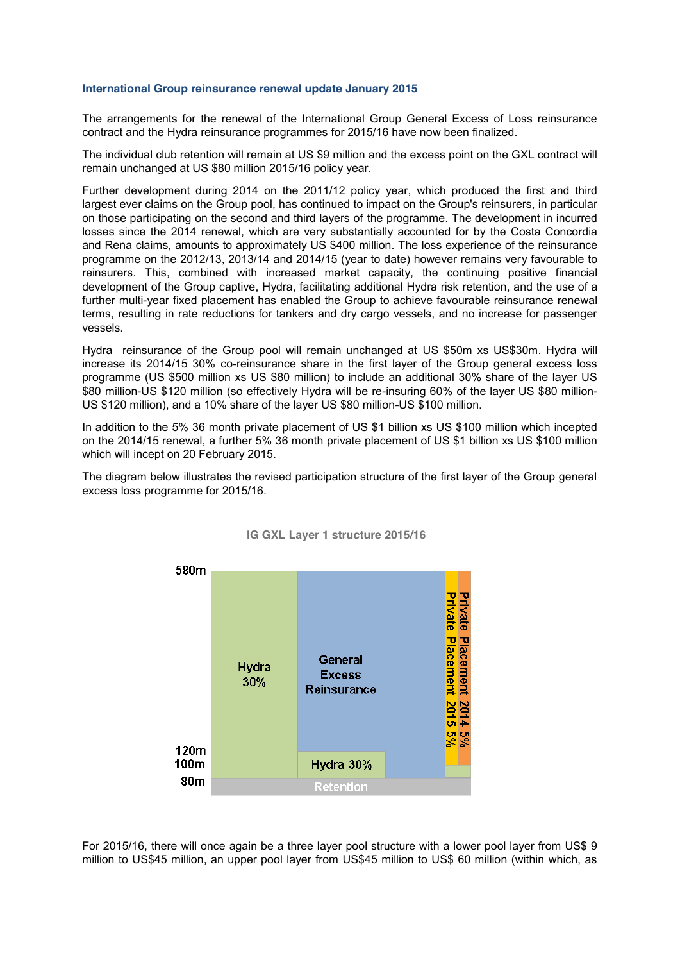## **International Group reinsurance renewal update January 2015**

The arrangements for the renewal of the International Group General Excess of Loss reinsurance contract and the Hydra reinsurance programmes for 2015/16 have now been finalized.

The individual club retention will remain at US \$9 million and the excess point on the GXL contract will remain unchanged at US \$80 million 2015/16 policy year.

Further development during 2014 on the 2011/12 policy year, which produced the first and third largest ever claims on the Group pool, has continued to impact on the Group's reinsurers, in particular on those participating on the second and third layers of the programme. The development in incurred losses since the 2014 renewal, which are very substantially accounted for by the Costa Concordia and Rena claims, amounts to approximately US \$400 million. The loss experience of the reinsurance programme on the 2012/13, 2013/14 and 2014/15 (year to date) however remains very favourable to reinsurers. This, combined with increased market capacity, the continuing positive financial development of the Group captive, Hydra, facilitating additional Hydra risk retention, and the use of a further multi-year fixed placement has enabled the Group to achieve favourable reinsurance renewal terms, resulting in rate reductions for tankers and dry cargo vessels, and no increase for passenger vessels.

Hydra reinsurance of the Group pool will remain unchanged at US \$50m xs US\$30m. Hydra will increase its 2014/15 30% co-reinsurance share in the first layer of the Group general excess loss programme (US \$500 million xs US \$80 million) to include an additional 30% share of the layer US \$80 million-US \$120 million (so effectively Hydra will be re-insuring 60% of the layer US \$80 million-US \$120 million), and a 10% share of the layer US \$80 million-US \$100 million.

In addition to the 5% 36 month private placement of US \$1 billion xs US \$100 million which incepted on the 2014/15 renewal, a further 5% 36 month private placement of US \$1 billion xs US \$100 million which will incept on 20 February 2015.

The diagram below illustrates the revised participation structure of the first layer of the Group general excess loss programme for 2015/16.



## **IG GXL Layer 1 structure 2015/16**

For 2015/16, there will once again be a three layer pool structure with a lower pool layer from US\$ 9 million to US\$45 million, an upper pool layer from US\$45 million to US\$ 60 million (within which, as